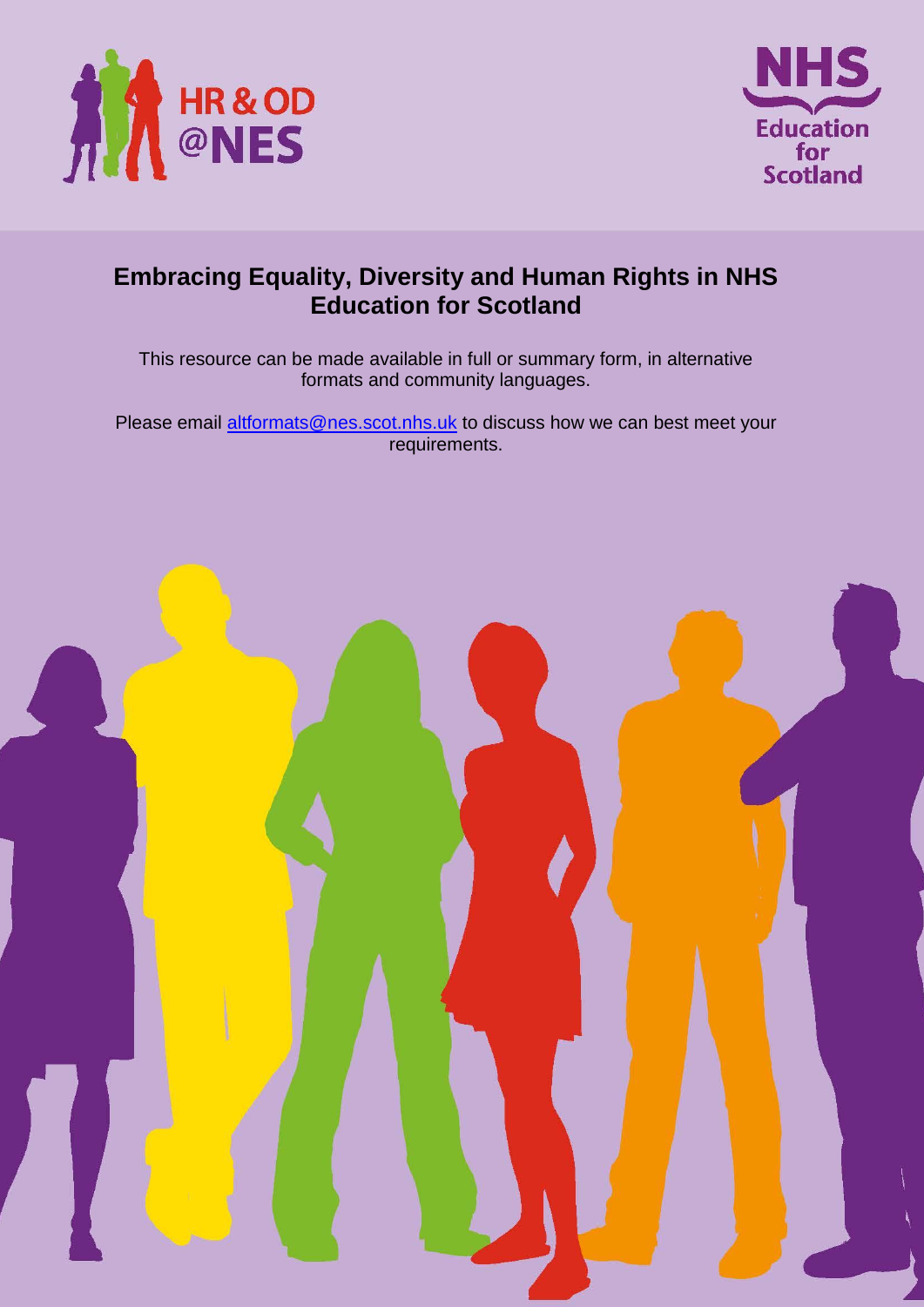



## **Embracing Equality, Diversity and Human Rights in NHS Education for Scotland**

This resource can be made available in full or summary form, in alternative formats and community languages.

Please email altformats@nes.scot.nhs.uk to discuss how we can best meet your requirements.

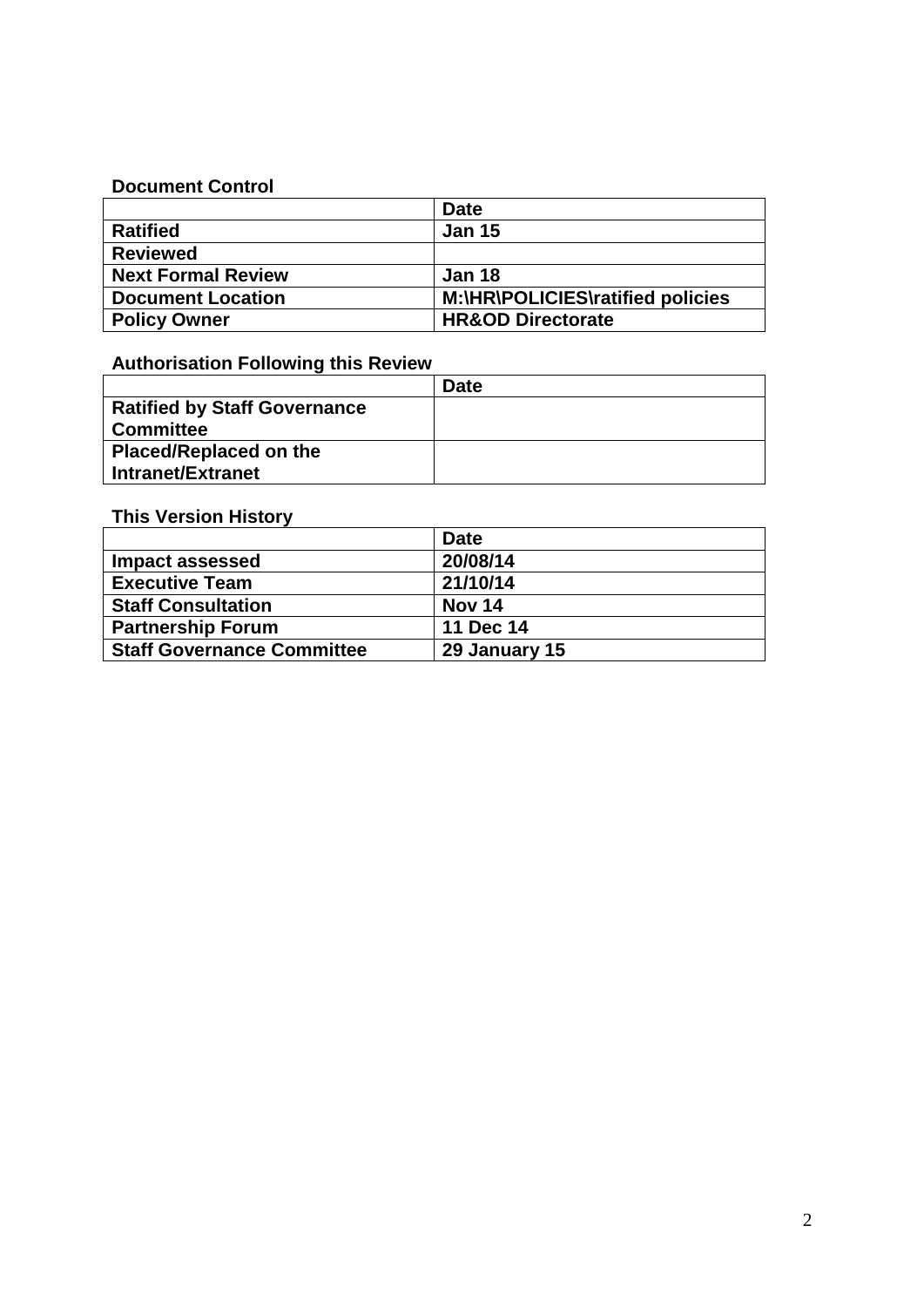#### **Document Control**

|                           | <b>Date</b>                      |
|---------------------------|----------------------------------|
| <b>Ratified</b>           | <b>Jan 15</b>                    |
| <b>Reviewed</b>           |                                  |
| <b>Next Formal Review</b> | <b>Jan 18</b>                    |
| <b>Document Location</b>  | M:\HR\POLICIES\ratified policies |
| <b>Policy Owner</b>       | <b>HR&amp;OD Directorate</b>     |

## **Authorisation Following this Review**

|                                     | <b>Date</b> |
|-------------------------------------|-------------|
| <b>Ratified by Staff Governance</b> |             |
| <b>Committee</b>                    |             |
| <b>Placed/Replaced on the</b>       |             |
| Intranet/Extranet                   |             |

## **This Version History**

|                                   | <b>Date</b>   |
|-----------------------------------|---------------|
| <b>Impact assessed</b>            | 20/08/14      |
| <b>Executive Team</b>             | 21/10/14      |
| <b>Staff Consultation</b>         | <b>Nov 14</b> |
| <b>Partnership Forum</b>          | 11 Dec 14     |
| <b>Staff Governance Committee</b> | 29 January 15 |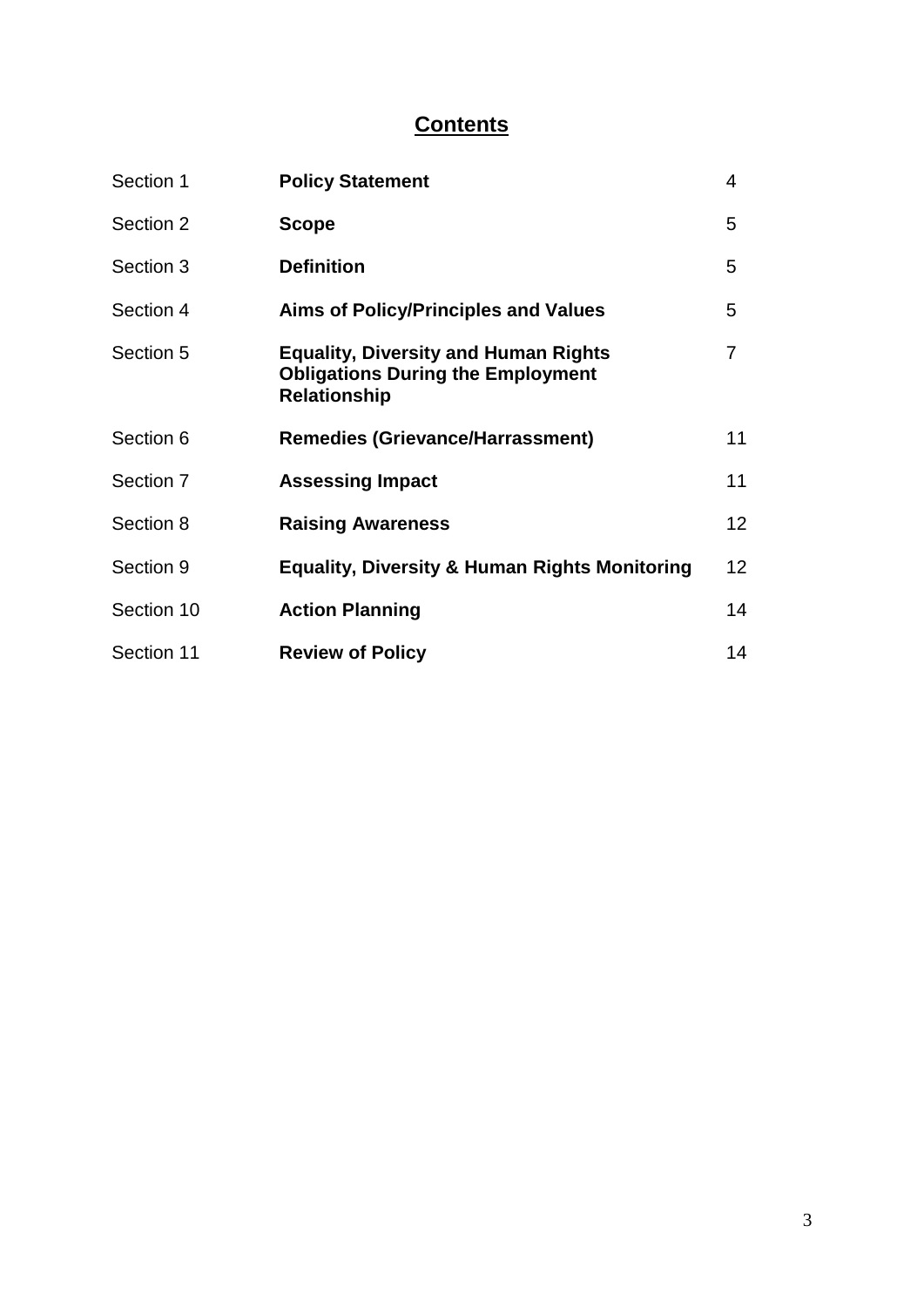# **Contents**

| Section 1  | <b>Policy Statement</b>                                                                                        | 4              |
|------------|----------------------------------------------------------------------------------------------------------------|----------------|
| Section 2  | <b>Scope</b>                                                                                                   | 5              |
| Section 3  | <b>Definition</b>                                                                                              | 5              |
| Section 4  | <b>Aims of Policy/Principles and Values</b>                                                                    | 5              |
| Section 5  | <b>Equality, Diversity and Human Rights</b><br><b>Obligations During the Employment</b><br><b>Relationship</b> | $\overline{7}$ |
| Section 6  | <b>Remedies (Grievance/Harrassment)</b>                                                                        | 11             |
| Section 7  | <b>Assessing Impact</b>                                                                                        | 11             |
| Section 8  | <b>Raising Awareness</b>                                                                                       | 12             |
| Section 9  | <b>Equality, Diversity &amp; Human Rights Monitoring</b>                                                       | 12             |
| Section 10 | <b>Action Planning</b>                                                                                         | 14             |
| Section 11 | <b>Review of Policy</b>                                                                                        | 14             |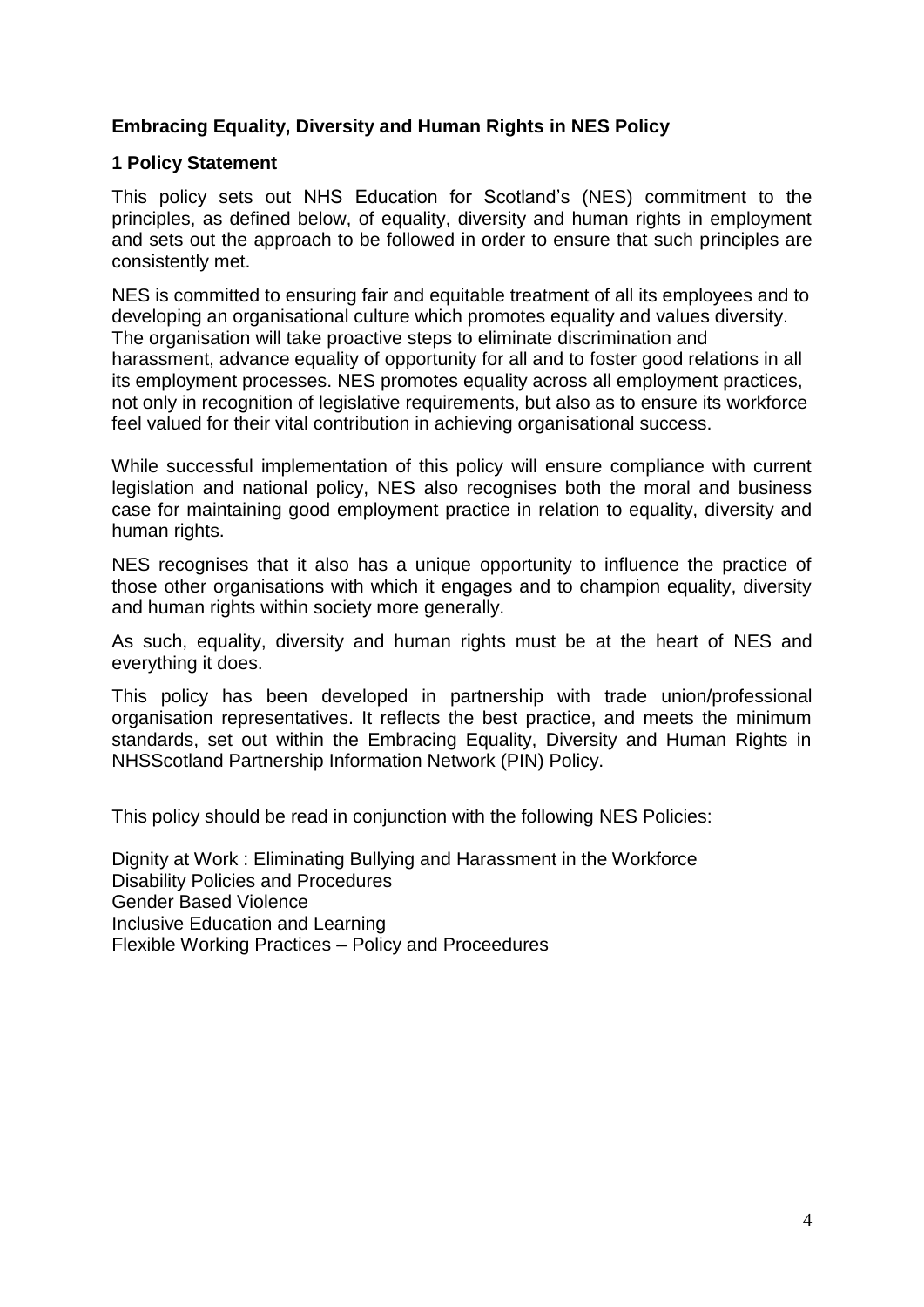## **Embracing Equality, Diversity and Human Rights in NES Policy**

#### **1 Policy Statement**

This policy sets out NHS Education for Scotland's (NES) commitment to the principles, as defined below, of equality, diversity and human rights in employment and sets out the approach to be followed in order to ensure that such principles are consistently met.

NES is committed to ensuring fair and equitable treatment of all its employees and to developing an organisational culture which promotes equality and values diversity. The organisation will take proactive steps to eliminate discrimination and harassment, advance equality of opportunity for all and to foster good relations in all its employment processes. NES promotes equality across all employment practices, not only in recognition of legislative requirements, but also as to ensure its workforce feel valued for their vital contribution in achieving organisational success.

While successful implementation of this policy will ensure compliance with current legislation and national policy, NES also recognises both the moral and business case for maintaining good employment practice in relation to equality, diversity and human rights.

NES recognises that it also has a unique opportunity to influence the practice of those other organisations with which it engages and to champion equality, diversity and human rights within society more generally.

As such, equality, diversity and human rights must be at the heart of NES and everything it does.

This policy has been developed in partnership with trade union/professional organisation representatives. It reflects the best practice, and meets the minimum standards, set out within the Embracing Equality, Diversity and Human Rights in NHSScotland Partnership Information Network (PIN) Policy.

This policy should be read in conjunction with the following NES Policies:

Dignity at Work : Eliminating Bullying and Harassment in the Workforce Disability Policies and Procedures Gender Based Violence Inclusive Education and Learning Flexible Working Practices – Policy and Proceedures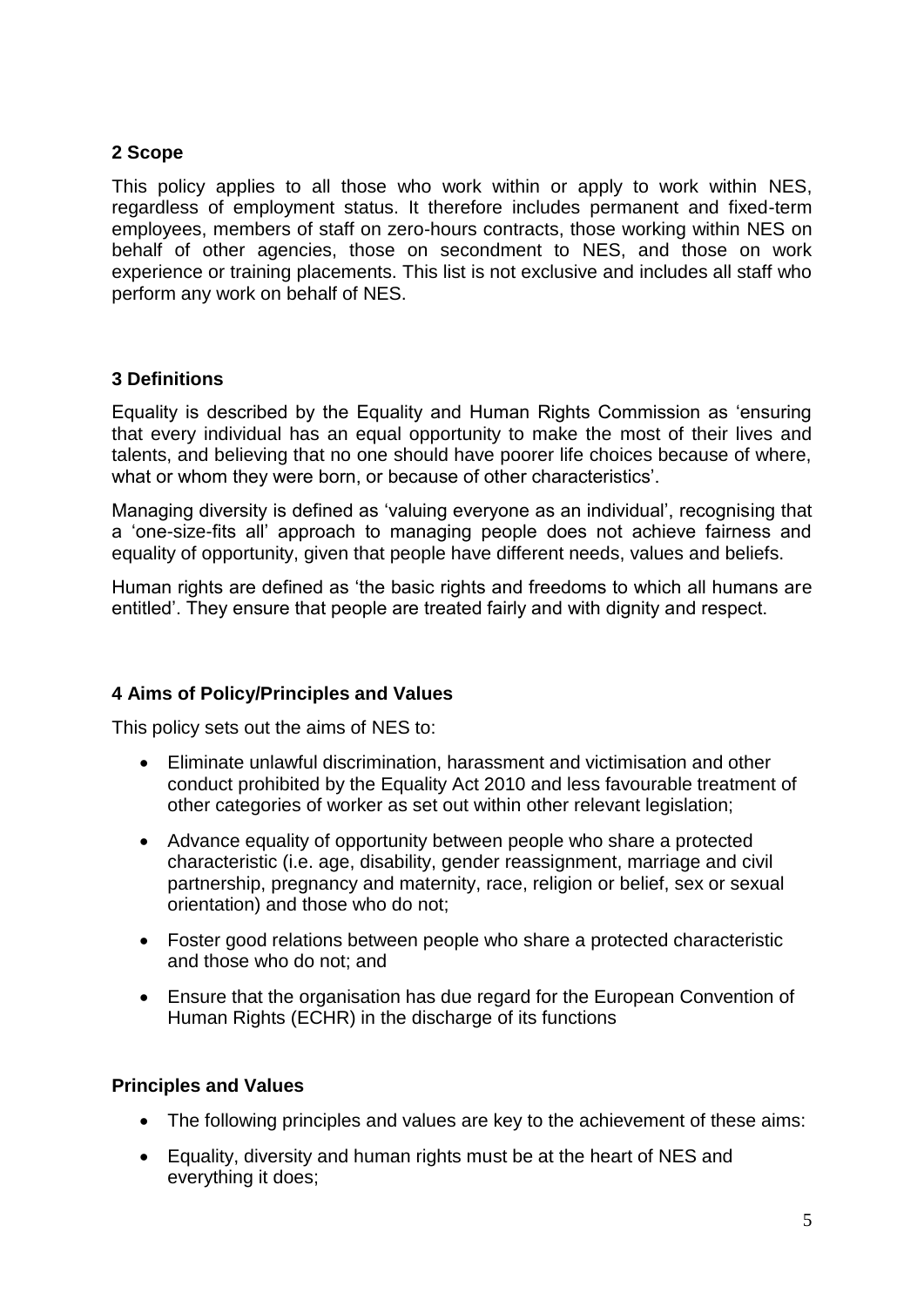## **2 Scope**

This policy applies to all those who work within or apply to work within NES, regardless of employment status. It therefore includes permanent and fixed-term employees, members of staff on zero-hours contracts, those working within NES on behalf of other agencies, those on secondment to NES, and those on work experience or training placements. This list is not exclusive and includes all staff who perform any work on behalf of NES.

#### **3 Definitions**

Equality is described by the Equality and Human Rights Commission as 'ensuring that every individual has an equal opportunity to make the most of their lives and talents, and believing that no one should have poorer life choices because of where, what or whom they were born, or because of other characteristics'.

Managing diversity is defined as 'valuing everyone as an individual', recognising that a 'one-size-fits all' approach to managing people does not achieve fairness and equality of opportunity, given that people have different needs, values and beliefs.

Human rights are defined as 'the basic rights and freedoms to which all humans are entitled'. They ensure that people are treated fairly and with dignity and respect.

## **4 Aims of Policy/Principles and Values**

This policy sets out the aims of NES to:

- Eliminate unlawful discrimination, harassment and victimisation and other conduct prohibited by the Equality Act 2010 and less favourable treatment of other categories of worker as set out within other relevant legislation;
- Advance equality of opportunity between people who share a protected characteristic (i.e. age, disability, gender reassignment, marriage and civil partnership, pregnancy and maternity, race, religion or belief, sex or sexual orientation) and those who do not;
- Foster good relations between people who share a protected characteristic and those who do not; and
- Ensure that the organisation has due regard for the European Convention of Human Rights (ECHR) in the discharge of its functions

#### **Principles and Values**

- The following principles and values are key to the achievement of these aims:
- Equality, diversity and human rights must be at the heart of NES and everything it does;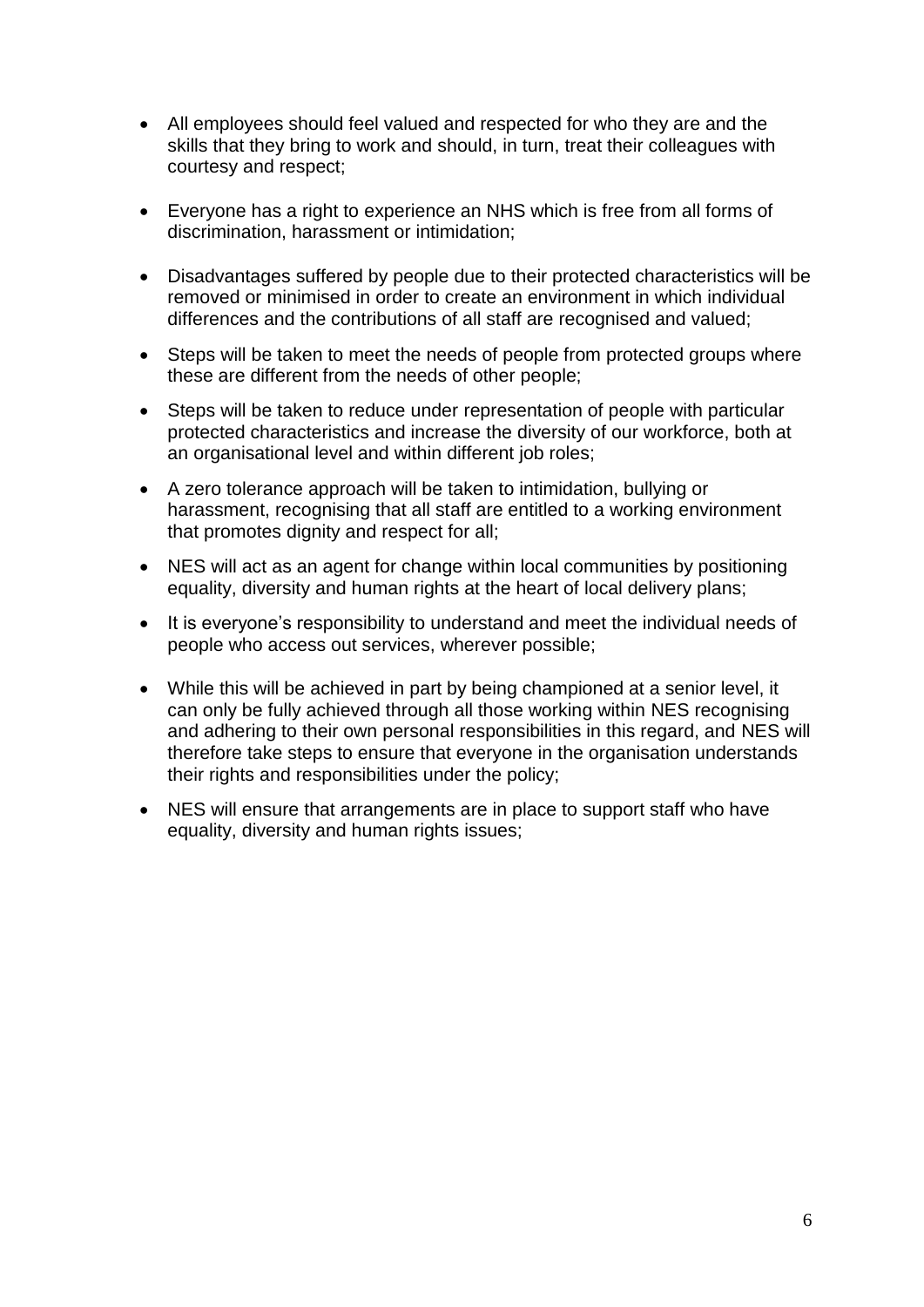- All employees should feel valued and respected for who they are and the skills that they bring to work and should, in turn, treat their colleagues with courtesy and respect;
- Everyone has a right to experience an NHS which is free from all forms of discrimination, harassment or intimidation;
- Disadvantages suffered by people due to their protected characteristics will be removed or minimised in order to create an environment in which individual differences and the contributions of all staff are recognised and valued;
- Steps will be taken to meet the needs of people from protected groups where these are different from the needs of other people;
- Steps will be taken to reduce under representation of people with particular protected characteristics and increase the diversity of our workforce, both at an organisational level and within different job roles;
- A zero tolerance approach will be taken to intimidation, bullying or harassment, recognising that all staff are entitled to a working environment that promotes dignity and respect for all;
- NES will act as an agent for change within local communities by positioning equality, diversity and human rights at the heart of local delivery plans;
- It is everyone's responsibility to understand and meet the individual needs of people who access out services, wherever possible;
- While this will be achieved in part by being championed at a senior level, it can only be fully achieved through all those working within NES recognising and adhering to their own personal responsibilities in this regard, and NES will therefore take steps to ensure that everyone in the organisation understands their rights and responsibilities under the policy;
- NES will ensure that arrangements are in place to support staff who have equality, diversity and human rights issues;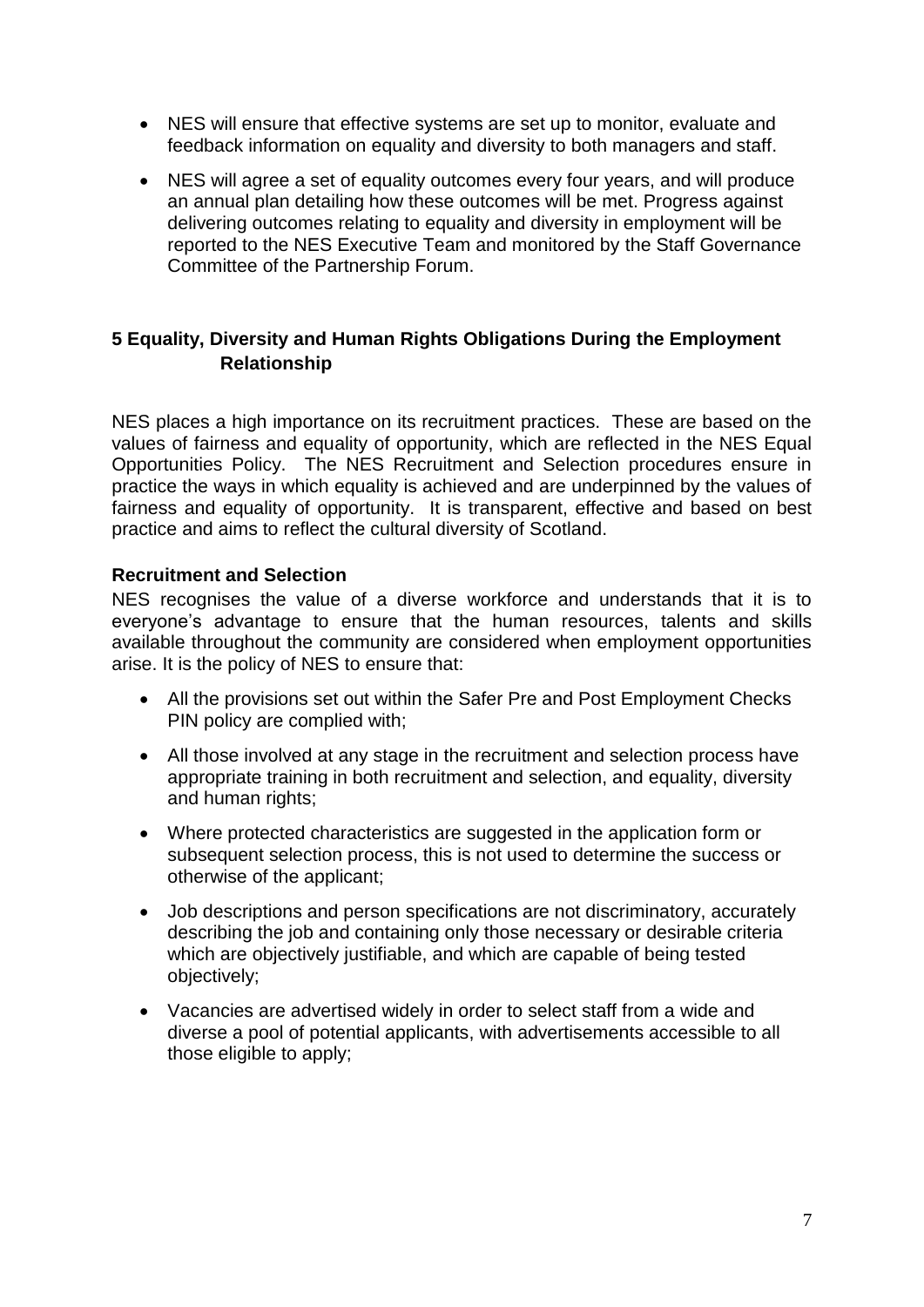- NES will ensure that effective systems are set up to monitor, evaluate and feedback information on equality and diversity to both managers and staff.
- NES will agree a set of equality outcomes every four years, and will produce an annual plan detailing how these outcomes will be met. Progress against delivering outcomes relating to equality and diversity in employment will be reported to the NES Executive Team and monitored by the Staff Governance Committee of the Partnership Forum.

## **5 Equality, Diversity and Human Rights Obligations During the Employment Relationship**

NES places a high importance on its recruitment practices. These are based on the values of fairness and equality of opportunity, which are reflected in the NES Equal Opportunities Policy. The NES Recruitment and Selection procedures ensure in practice the ways in which equality is achieved and are underpinned by the values of fairness and equality of opportunity. It is transparent, effective and based on best practice and aims to reflect the cultural diversity of Scotland.

#### **Recruitment and Selection**

NES recognises the value of a diverse workforce and understands that it is to everyone's advantage to ensure that the human resources, talents and skills available throughout the community are considered when employment opportunities arise. It is the policy of NES to ensure that:

- All the provisions set out within the Safer Pre and Post Employment Checks PIN policy are complied with;
- All those involved at any stage in the recruitment and selection process have appropriate training in both recruitment and selection, and equality, diversity and human rights;
- Where protected characteristics are suggested in the application form or subsequent selection process, this is not used to determine the success or otherwise of the applicant;
- Job descriptions and person specifications are not discriminatory, accurately describing the job and containing only those necessary or desirable criteria which are objectively justifiable, and which are capable of being tested objectively;
- Vacancies are advertised widely in order to select staff from a wide and diverse a pool of potential applicants, with advertisements accessible to all those eligible to apply;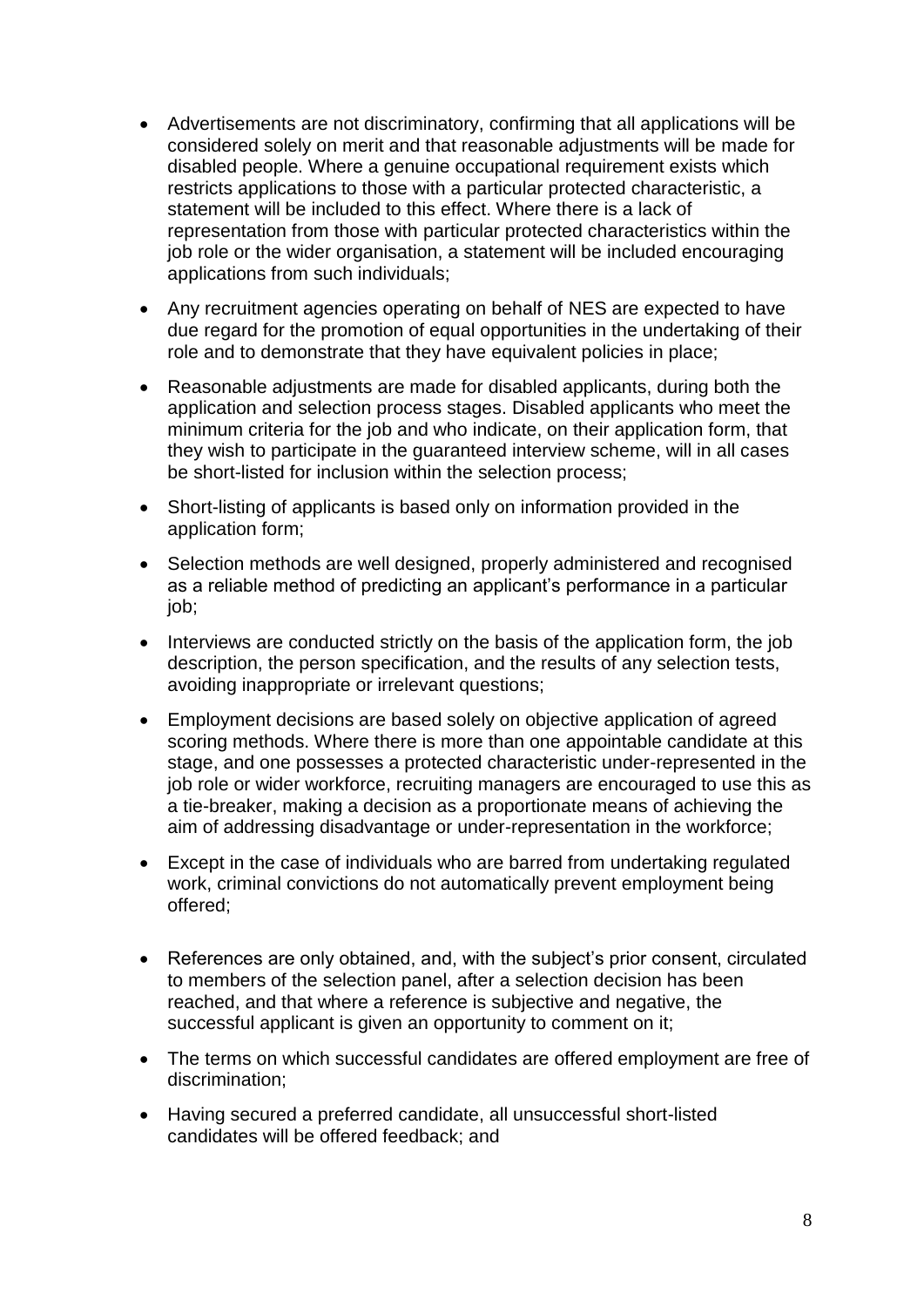- Advertisements are not discriminatory, confirming that all applications will be considered solely on merit and that reasonable adjustments will be made for disabled people. Where a genuine occupational requirement exists which restricts applications to those with a particular protected characteristic, a statement will be included to this effect. Where there is a lack of representation from those with particular protected characteristics within the job role or the wider organisation, a statement will be included encouraging applications from such individuals;
- Any recruitment agencies operating on behalf of NES are expected to have due regard for the promotion of equal opportunities in the undertaking of their role and to demonstrate that they have equivalent policies in place;
- Reasonable adjustments are made for disabled applicants, during both the application and selection process stages. Disabled applicants who meet the minimum criteria for the job and who indicate, on their application form, that they wish to participate in the guaranteed interview scheme, will in all cases be short-listed for inclusion within the selection process;
- Short-listing of applicants is based only on information provided in the application form;
- Selection methods are well designed, properly administered and recognised as a reliable method of predicting an applicant's performance in a particular job;
- Interviews are conducted strictly on the basis of the application form, the job description, the person specification, and the results of any selection tests, avoiding inappropriate or irrelevant questions;
- Employment decisions are based solely on objective application of agreed scoring methods. Where there is more than one appointable candidate at this stage, and one possesses a protected characteristic under-represented in the job role or wider workforce, recruiting managers are encouraged to use this as a tie-breaker, making a decision as a proportionate means of achieving the aim of addressing disadvantage or under-representation in the workforce;
- Except in the case of individuals who are barred from undertaking regulated work, criminal convictions do not automatically prevent employment being offered;
- References are only obtained, and, with the subject's prior consent, circulated to members of the selection panel, after a selection decision has been reached, and that where a reference is subjective and negative, the successful applicant is given an opportunity to comment on it;
- The terms on which successful candidates are offered employment are free of discrimination;
- Having secured a preferred candidate, all unsuccessful short-listed candidates will be offered feedback; and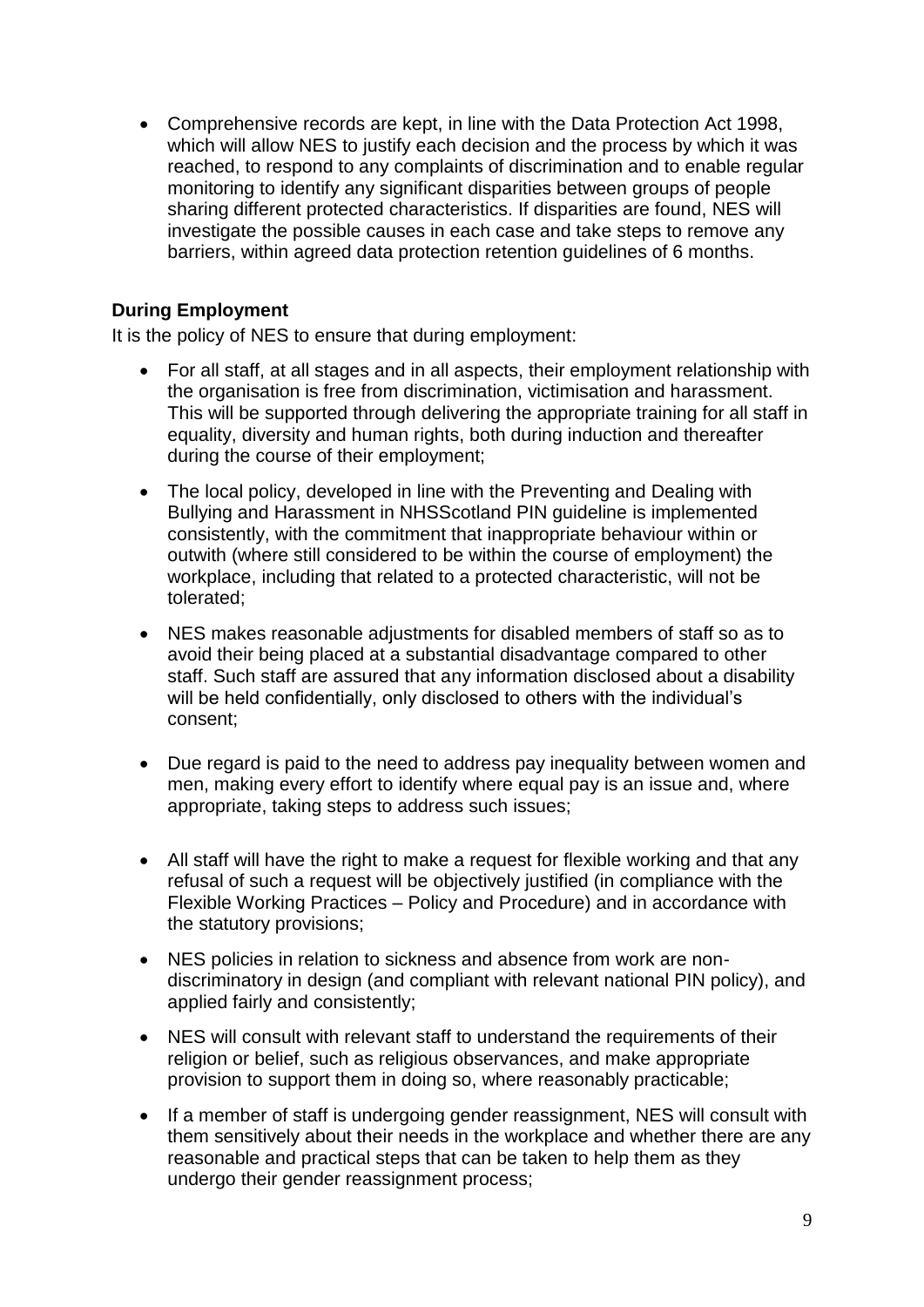Comprehensive records are kept, in line with the Data Protection Act 1998, which will allow NES to justify each decision and the process by which it was reached, to respond to any complaints of discrimination and to enable regular monitoring to identify any significant disparities between groups of people sharing different protected characteristics. If disparities are found, NES will investigate the possible causes in each case and take steps to remove any barriers, within agreed data protection retention guidelines of 6 months.

## **During Employment**

It is the policy of NES to ensure that during employment:

- For all staff, at all stages and in all aspects, their employment relationship with the organisation is free from discrimination, victimisation and harassment. This will be supported through delivering the appropriate training for all staff in equality, diversity and human rights, both during induction and thereafter during the course of their employment;
- The local policy, developed in line with the Preventing and Dealing with Bullying and Harassment in NHSScotland PIN guideline is implemented consistently, with the commitment that inappropriate behaviour within or outwith (where still considered to be within the course of employment) the workplace, including that related to a protected characteristic, will not be tolerated;
- NES makes reasonable adjustments for disabled members of staff so as to avoid their being placed at a substantial disadvantage compared to other staff. Such staff are assured that any information disclosed about a disability will be held confidentially, only disclosed to others with the individual's consent;
- Due regard is paid to the need to address pay inequality between women and men, making every effort to identify where equal pay is an issue and, where appropriate, taking steps to address such issues;
- All staff will have the right to make a request for flexible working and that any refusal of such a request will be objectively justified (in compliance with the Flexible Working Practices – Policy and Procedure) and in accordance with the statutory provisions;
- NES policies in relation to sickness and absence from work are nondiscriminatory in design (and compliant with relevant national PIN policy), and applied fairly and consistently;
- NES will consult with relevant staff to understand the requirements of their religion or belief, such as religious observances, and make appropriate provision to support them in doing so, where reasonably practicable;
- If a member of staff is undergoing gender reassignment, NES will consult with them sensitively about their needs in the workplace and whether there are any reasonable and practical steps that can be taken to help them as they undergo their gender reassignment process;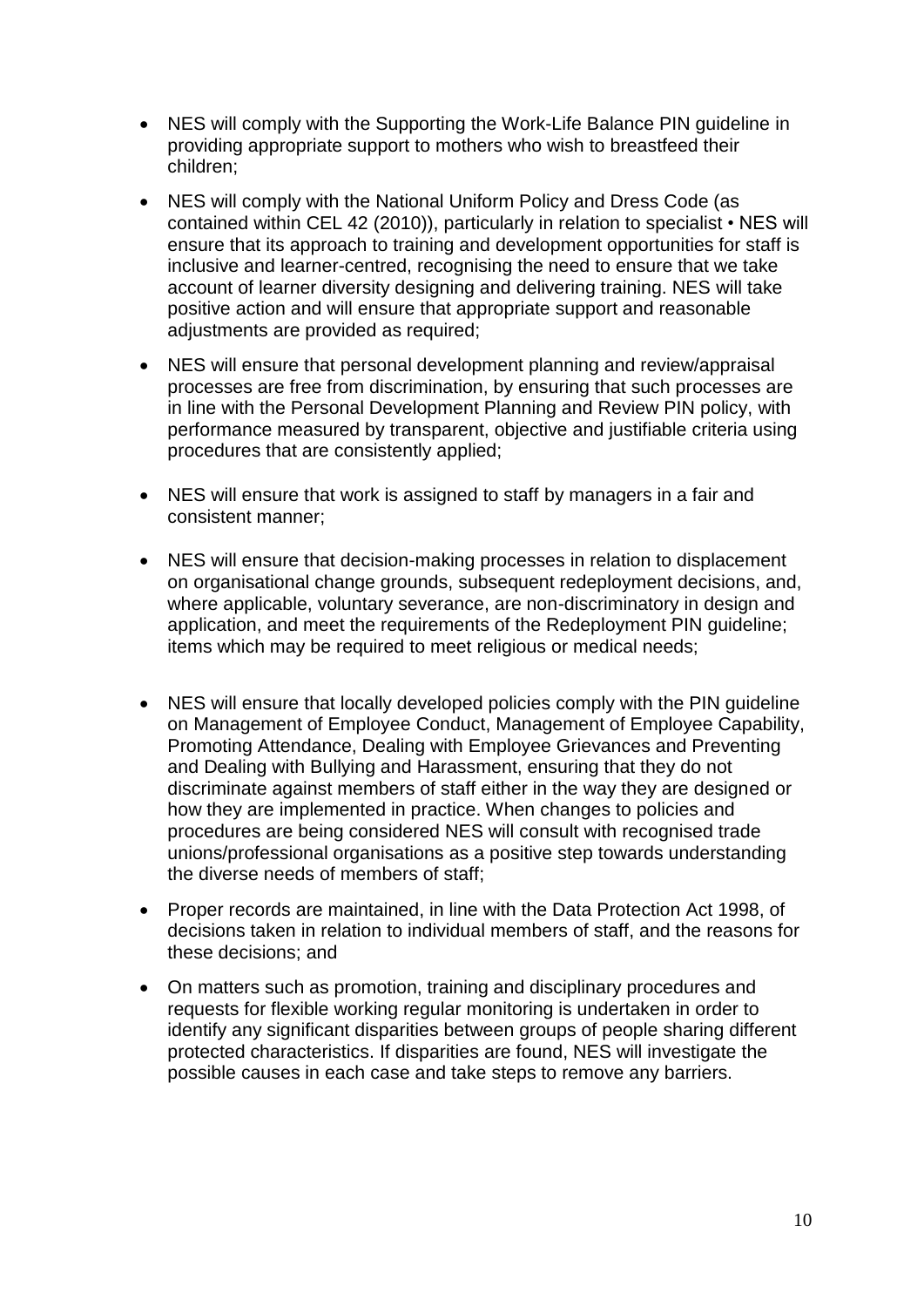- NES will comply with the Supporting the Work-Life Balance PIN guideline in providing appropriate support to mothers who wish to breastfeed their children;
- NES will comply with the National Uniform Policy and Dress Code (as contained within CEL 42 (2010)), particularly in relation to specialist • NES will ensure that its approach to training and development opportunities for staff is inclusive and learner-centred, recognising the need to ensure that we take account of learner diversity designing and delivering training. NES will take positive action and will ensure that appropriate support and reasonable adjustments are provided as required;
- NES will ensure that personal development planning and review/appraisal processes are free from discrimination, by ensuring that such processes are in line with the Personal Development Planning and Review PIN policy, with performance measured by transparent, objective and justifiable criteria using procedures that are consistently applied;
- NES will ensure that work is assigned to staff by managers in a fair and consistent manner;
- NES will ensure that decision-making processes in relation to displacement on organisational change grounds, subsequent redeployment decisions, and, where applicable, voluntary severance, are non-discriminatory in design and application, and meet the requirements of the Redeployment PIN guideline; items which may be required to meet religious or medical needs;
- NES will ensure that locally developed policies comply with the PIN quideline on Management of Employee Conduct, Management of Employee Capability, Promoting Attendance, Dealing with Employee Grievances and Preventing and Dealing with Bullying and Harassment, ensuring that they do not discriminate against members of staff either in the way they are designed or how they are implemented in practice. When changes to policies and procedures are being considered NES will consult with recognised trade unions/professional organisations as a positive step towards understanding the diverse needs of members of staff;
- Proper records are maintained, in line with the Data Protection Act 1998, of decisions taken in relation to individual members of staff, and the reasons for these decisions; and
- On matters such as promotion, training and disciplinary procedures and requests for flexible working regular monitoring is undertaken in order to identify any significant disparities between groups of people sharing different protected characteristics. If disparities are found, NES will investigate the possible causes in each case and take steps to remove any barriers.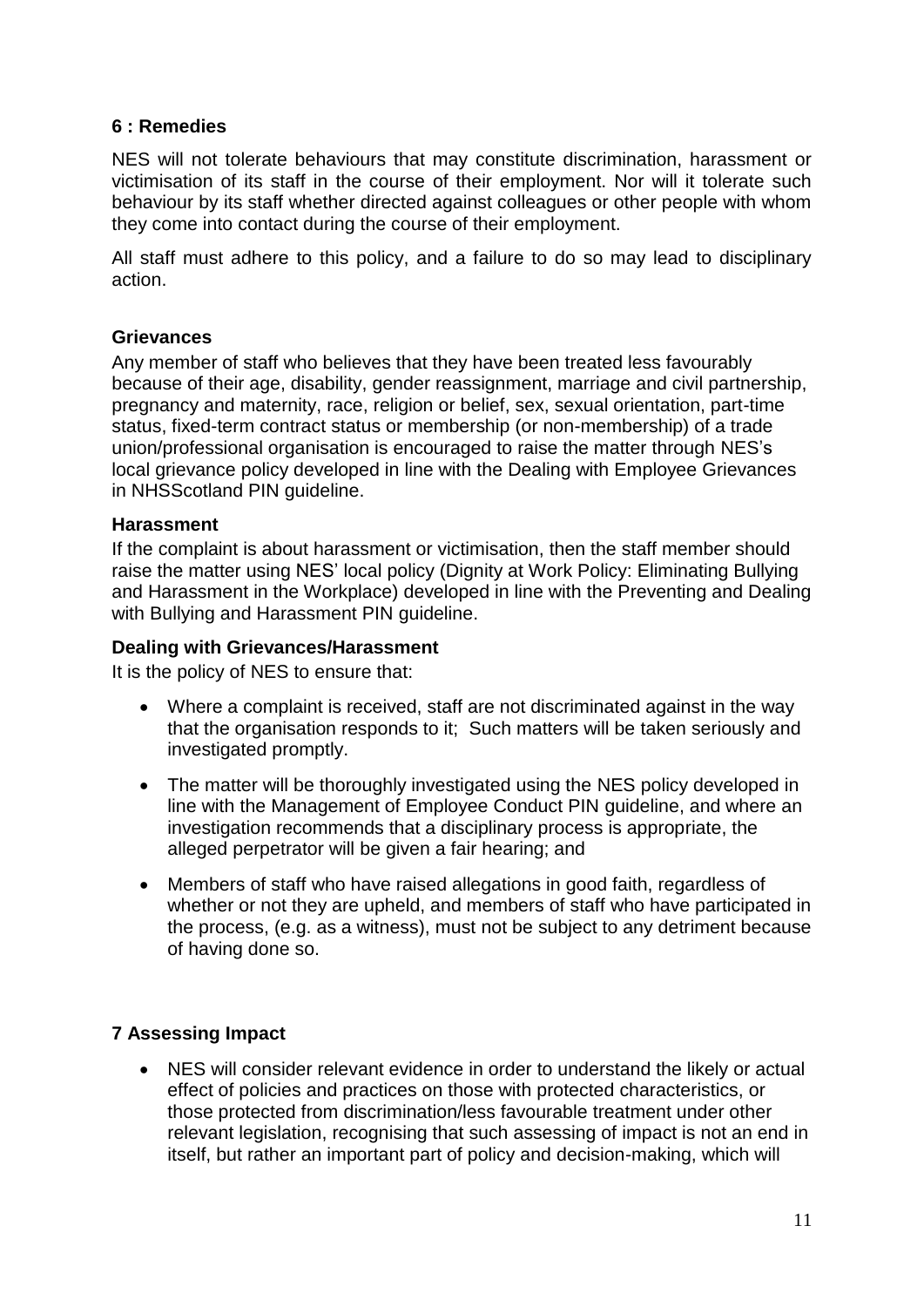#### **6 : Remedies**

NES will not tolerate behaviours that may constitute discrimination, harassment or victimisation of its staff in the course of their employment. Nor will it tolerate such behaviour by its staff whether directed against colleagues or other people with whom they come into contact during the course of their employment.

All staff must adhere to this policy, and a failure to do so may lead to disciplinary action.

#### **Grievances**

Any member of staff who believes that they have been treated less favourably because of their age, disability, gender reassignment, marriage and civil partnership, pregnancy and maternity, race, religion or belief, sex, sexual orientation, part-time status, fixed-term contract status or membership (or non-membership) of a trade union/professional organisation is encouraged to raise the matter through NES's local grievance policy developed in line with the Dealing with Employee Grievances in NHSScotland PIN guideline.

#### **Harassment**

If the complaint is about harassment or victimisation, then the staff member should raise the matter using NES' local policy (Dignity at Work Policy: Eliminating Bullying and Harassment in the Workplace) developed in line with the Preventing and Dealing with Bullying and Harassment PIN guideline.

#### **Dealing with Grievances/Harassment**

It is the policy of NES to ensure that:

- Where a complaint is received, staff are not discriminated against in the way that the organisation responds to it; Such matters will be taken seriously and investigated promptly.
- The matter will be thoroughly investigated using the NES policy developed in line with the Management of Employee Conduct PIN guideline, and where an investigation recommends that a disciplinary process is appropriate, the alleged perpetrator will be given a fair hearing; and
- Members of staff who have raised allegations in good faith, regardless of whether or not they are upheld, and members of staff who have participated in the process, (e.g. as a witness), must not be subject to any detriment because of having done so.

## **7 Assessing Impact**

 NES will consider relevant evidence in order to understand the likely or actual effect of policies and practices on those with protected characteristics, or those protected from discrimination/less favourable treatment under other relevant legislation, recognising that such assessing of impact is not an end in itself, but rather an important part of policy and decision-making, which will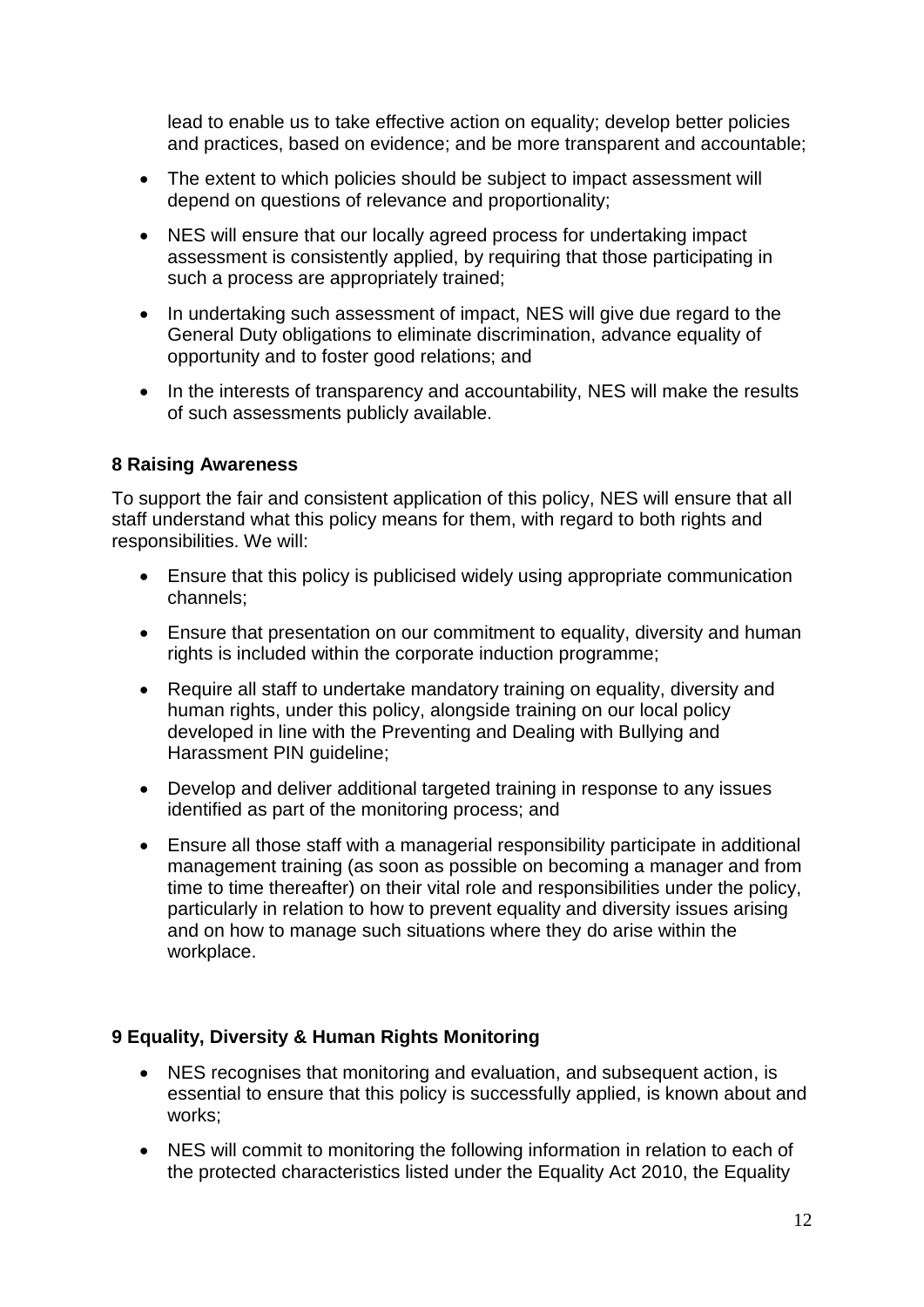lead to enable us to take effective action on equality; develop better policies and practices, based on evidence; and be more transparent and accountable;

- The extent to which policies should be subiect to impact assessment will depend on questions of relevance and proportionality;
- NES will ensure that our locally agreed process for undertaking impact assessment is consistently applied, by requiring that those participating in such a process are appropriately trained;
- In undertaking such assessment of impact, NES will give due regard to the General Duty obligations to eliminate discrimination, advance equality of opportunity and to foster good relations; and
- In the interests of transparency and accountability, NES will make the results of such assessments publicly available.

#### **8 Raising Awareness**

To support the fair and consistent application of this policy, NES will ensure that all staff understand what this policy means for them, with regard to both rights and responsibilities. We will:

- Ensure that this policy is publicised widely using appropriate communication channels;
- Ensure that presentation on our commitment to equality, diversity and human rights is included within the corporate induction programme;
- Require all staff to undertake mandatory training on equality, diversity and human rights, under this policy, alongside training on our local policy developed in line with the Preventing and Dealing with Bullying and Harassment PIN guideline;
- Develop and deliver additional targeted training in response to any issues identified as part of the monitoring process; and
- Ensure all those staff with a managerial responsibility participate in additional management training (as soon as possible on becoming a manager and from time to time thereafter) on their vital role and responsibilities under the policy, particularly in relation to how to prevent equality and diversity issues arising and on how to manage such situations where they do arise within the workplace.

## **9 Equality, Diversity & Human Rights Monitoring**

- NES recognises that monitoring and evaluation, and subsequent action, is essential to ensure that this policy is successfully applied, is known about and works;
- NES will commit to monitoring the following information in relation to each of the protected characteristics listed under the Equality Act 2010, the Equality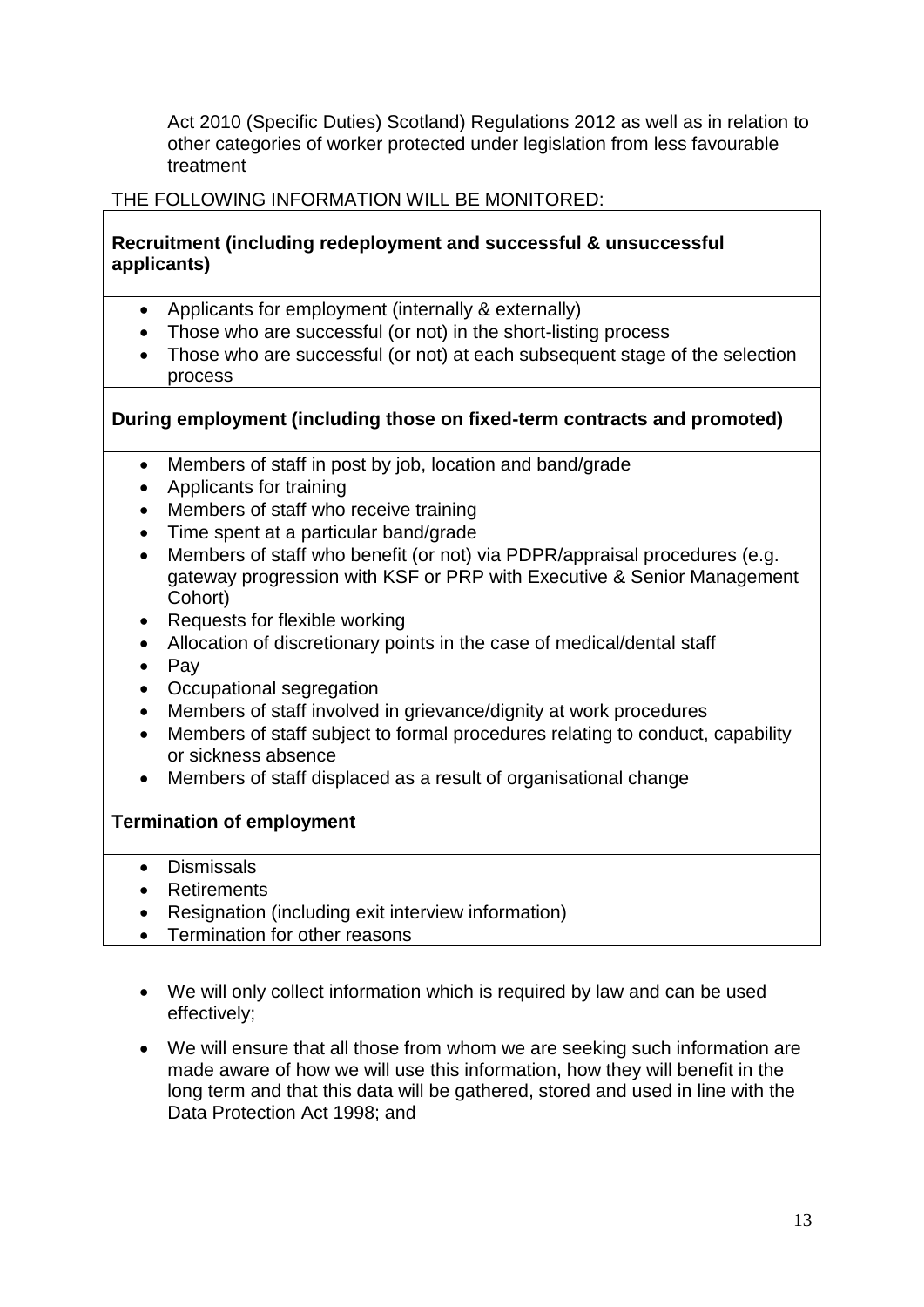Act 2010 (Specific Duties) Scotland) Regulations 2012 as well as in relation to other categories of worker protected under legislation from less favourable treatment

## THE FOLLOWING INFORMATION WILL BE MONITORED:

#### **Recruitment (including redeployment and successful & unsuccessful applicants)**

- Applicants for employment (internally & externally)
- Those who are successful (or not) in the short-listing process
- Those who are successful (or not) at each subsequent stage of the selection process

#### **During employment (including those on fixed-term contracts and promoted)**

- Members of staff in post by job, location and band/grade
- Applicants for training
- Members of staff who receive training
- Time spent at a particular band/grade
- Members of staff who benefit (or not) via PDPR/appraisal procedures (e.g. gateway progression with KSF or PRP with Executive & Senior Management Cohort)
- Requests for flexible working
- Allocation of discretionary points in the case of medical/dental staff
- $\bullet$  Pay
- Occupational segregation
- Members of staff involved in grievance/dignity at work procedures
- Members of staff subject to formal procedures relating to conduct, capability or sickness absence
- Members of staff displaced as a result of organisational change

#### **Termination of employment**

- Dismissals
- Retirements
- Resignation (including exit interview information)
- Termination for other reasons
- We will only collect information which is required by law and can be used effectively;
- We will ensure that all those from whom we are seeking such information are made aware of how we will use this information, how they will benefit in the long term and that this data will be gathered, stored and used in line with the Data Protection Act 1998; and